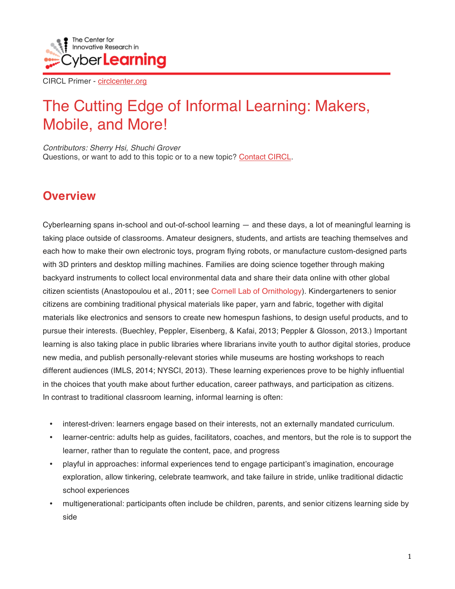

# The Cutting Edge of Informal Learning: Makers, Mobile, and More!

*Contributors: Sherry Hsi, Shuchi Grover* Questions, or want to add to this topic or to a new topic? Contact CIRCL.

## **Overview**

Cyberlearning spans in-school and out-of-school learning — and these days, a lot of meaningful learning is taking place outside of classrooms. Amateur designers, students, and artists are teaching themselves and each how to make their own electronic toys, program flying robots, or manufacture custom-designed parts with 3D printers and desktop milling machines. Families are doing science together through making backyard instruments to collect local environmental data and share their data online with other global citizen scientists (Anastopoulou et al., 2011; see Cornell Lab of Ornithology). Kindergarteners to senior citizens are combining traditional physical materials like paper, yarn and fabric, together with digital materials like electronics and sensors to create new homespun fashions, to design useful products, and to pursue their interests. (Buechley, Peppler, Eisenberg, & Kafai, 2013; Peppler & Glosson, 2013.) Important learning is also taking place in public libraries where librarians invite youth to author digital stories, produce new media, and publish personally-relevant stories while museums are hosting workshops to reach different audiences (IMLS, 2014; NYSCI, 2013). These learning experiences prove to be highly influential in the choices that youth make about further education, career pathways, and participation as citizens. In contrast to traditional classroom learning, informal learning is often:

- interest-driven: learners engage based on their interests, not an externally mandated curriculum.
- learner-centric: adults help as guides, facilitators, coaches, and mentors, but the role is to support the learner, rather than to regulate the content, pace, and progress
- playful in approaches: informal experiences tend to engage participant's imagination, encourage exploration, allow tinkering, celebrate teamwork, and take failure in stride, unlike traditional didactic school experiences
- multigenerational: participants often include be children, parents, and senior citizens learning side by side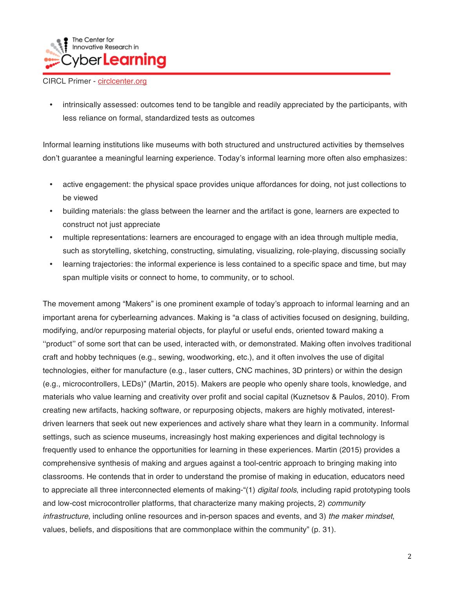

• intrinsically assessed: outcomes tend to be tangible and readily appreciated by the participants, with less reliance on formal, standardized tests as outcomes

Informal learning institutions like museums with both structured and unstructured activities by themselves don't guarantee a meaningful learning experience. Today's informal learning more often also emphasizes:

- active engagement: the physical space provides unique affordances for doing, not just collections to be viewed
- building materials: the glass between the learner and the artifact is gone, learners are expected to construct not just appreciate
- multiple representations: learners are encouraged to engage with an idea through multiple media, such as storytelling, sketching, constructing, simulating, visualizing, role-playing, discussing socially
- learning trajectories: the informal experience is less contained to a specific space and time, but may span multiple visits or connect to home, to community, or to school.

The movement among "Makers" is one prominent example of today's approach to informal learning and an important arena for cyberlearning advances. Making is "a class of activities focused on designing, building, modifying, and/or repurposing material objects, for playful or useful ends, oriented toward making a ''product'' of some sort that can be used, interacted with, or demonstrated. Making often involves traditional craft and hobby techniques (e.g., sewing, woodworking, etc.), and it often involves the use of digital technologies, either for manufacture (e.g., laser cutters, CNC machines, 3D printers) or within the design (e.g., microcontrollers, LEDs)" (Martin, 2015). Makers are people who openly share tools, knowledge, and materials who value learning and creativity over profit and social capital (Kuznetsov & Paulos, 2010). From creating new artifacts, hacking software, or repurposing objects, makers are highly motivated, interestdriven learners that seek out new experiences and actively share what they learn in a community. Informal settings, such as science museums, increasingly host making experiences and digital technology is frequently used to enhance the opportunities for learning in these experiences. Martin (2015) provides a comprehensive synthesis of making and argues against a tool-centric approach to bringing making into classrooms. He contends that in order to understand the promise of making in education, educators need to appreciate all three interconnected elements of making-"(1) *digital tools*, including rapid prototyping tools and low-cost microcontroller platforms, that characterize many making projects, 2) *community infrastructure*, including online resources and in-person spaces and events, and 3) *the maker mindset*, values, beliefs, and dispositions that are commonplace within the community" (p. 31).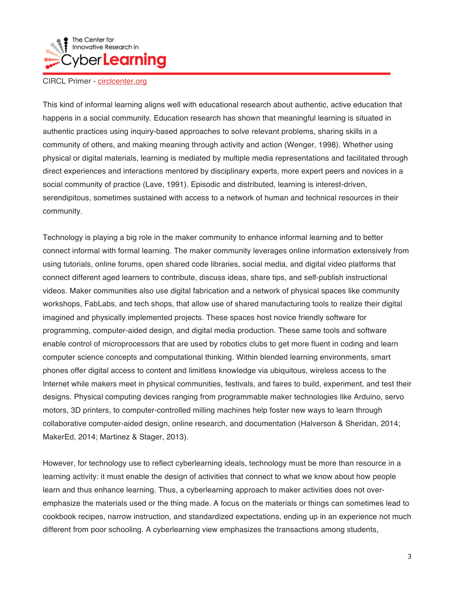

This kind of informal learning aligns well with educational research about authentic, active education that happens in a social community. Education research has shown that meaningful learning is situated in authentic practices using inquiry-based approaches to solve relevant problems, sharing skills in a community of others, and making meaning through activity and action (Wenger, 1998). Whether using physical or digital materials, learning is mediated by multiple media representations and facilitated through direct experiences and interactions mentored by disciplinary experts, more expert peers and novices in a social community of practice (Lave, 1991). Episodic and distributed, learning is interest-driven, serendipitous, sometimes sustained with access to a network of human and technical resources in their community.

Technology is playing a big role in the maker community to enhance informal learning and to better connect informal with formal learning. The maker community leverages online information extensively from using tutorials, online forums, open shared code libraries, social media, and digital video platforms that connect different aged learners to contribute, discuss ideas, share tips, and self-publish instructional videos. Maker communities also use digital fabrication and a network of physical spaces like community workshops, FabLabs, and tech shops, that allow use of shared manufacturing tools to realize their digital imagined and physically implemented projects. These spaces host novice friendly software for programming, computer-aided design, and digital media production. These same tools and software enable control of microprocessors that are used by robotics clubs to get more fluent in coding and learn computer science concepts and computational thinking. Within blended learning environments, smart phones offer digital access to content and limitless knowledge via ubiquitous, wireless access to the Internet while makers meet in physical communities, festivals, and faires to build, experiment, and test their designs. Physical computing devices ranging from programmable maker technologies like Arduino, servo motors, 3D printers, to computer-controlled milling machines help foster new ways to learn through collaborative computer-aided design, online research, and documentation (Halverson & Sheridan, 2014; MakerEd, 2014; Martinez & Stager, 2013).

However, for technology use to reflect cyberlearning ideals, technology must be more than resource in a learning activity: it must enable the design of activities that connect to what we know about how people learn and thus enhance learning. Thus, a cyberlearning approach to maker activities does not overemphasize the materials used or the thing made. A focus on the materials or things can sometimes lead to cookbook recipes, narrow instruction, and standardized expectations, ending up in an experience not much different from poor schooling. A cyberlearning view emphasizes the transactions among students,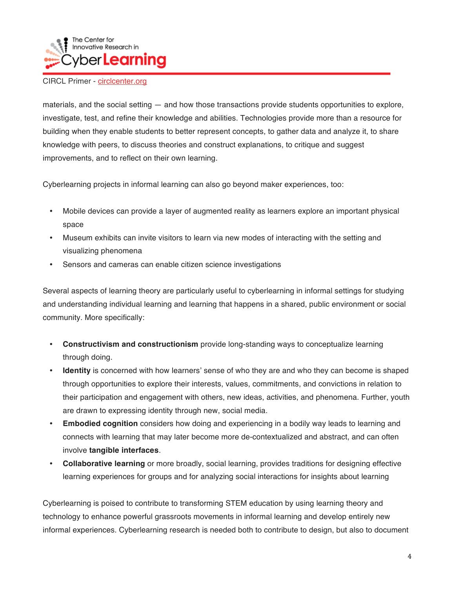

materials, and the social setting — and how those transactions provide students opportunities to explore, investigate, test, and refine their knowledge and abilities. Technologies provide more than a resource for building when they enable students to better represent concepts, to gather data and analyze it, to share knowledge with peers, to discuss theories and construct explanations, to critique and suggest improvements, and to reflect on their own learning.

Cyberlearning projects in informal learning can also go beyond maker experiences, too:

- Mobile devices can provide a layer of augmented reality as learners explore an important physical space
- Museum exhibits can invite visitors to learn via new modes of interacting with the setting and visualizing phenomena
- Sensors and cameras can enable citizen science investigations

Several aspects of learning theory are particularly useful to cyberlearning in informal settings for studying and understanding individual learning and learning that happens in a shared, public environment or social community. More specifically:

- **Constructivism and constructionism** provide long-standing ways to conceptualize learning through doing.
- **Identity** is concerned with how learners' sense of who they are and who they can become is shaped through opportunities to explore their interests, values, commitments, and convictions in relation to their participation and engagement with others, new ideas, activities, and phenomena. Further, youth are drawn to expressing identity through new, social media.
- **Embodied cognition** considers how doing and experiencing in a bodily way leads to learning and connects with learning that may later become more de-contextualized and abstract, and can often involve **tangible interfaces**.
- **Collaborative learning** or more broadly, social learning, provides traditions for designing effective learning experiences for groups and for analyzing social interactions for insights about learning

Cyberlearning is poised to contribute to transforming STEM education by using learning theory and technology to enhance powerful grassroots movements in informal learning and develop entirely new informal experiences. Cyberlearning research is needed both to contribute to design, but also to document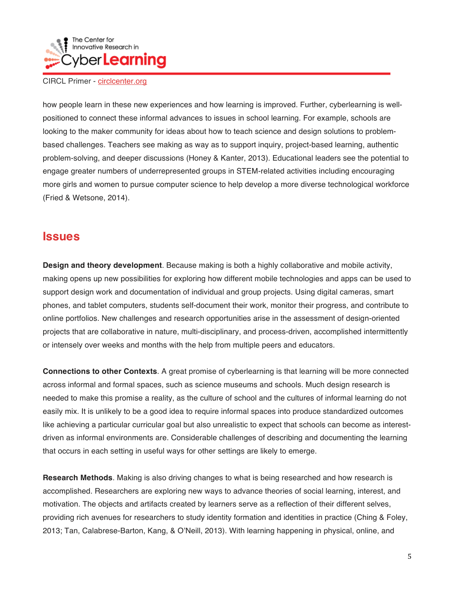

how people learn in these new experiences and how learning is improved. Further, cyberlearning is wellpositioned to connect these informal advances to issues in school learning. For example, schools are looking to the maker community for ideas about how to teach science and design solutions to problembased challenges. Teachers see making as way as to support inquiry, project-based learning, authentic problem-solving, and deeper discussions (Honey & Kanter, 2013). Educational leaders see the potential to engage greater numbers of underrepresented groups in STEM-related activities including encouraging more girls and women to pursue computer science to help develop a more diverse technological workforce (Fried & Wetsone, 2014).

## **Issues**

**Design and theory development**. Because making is both a highly collaborative and mobile activity, making opens up new possibilities for exploring how different mobile technologies and apps can be used to support design work and documentation of individual and group projects. Using digital cameras, smart phones, and tablet computers, students self-document their work, monitor their progress, and contribute to online portfolios. New challenges and research opportunities arise in the assessment of design-oriented projects that are collaborative in nature, multi-disciplinary, and process-driven, accomplished intermittently or intensely over weeks and months with the help from multiple peers and educators.

**Connections to other Contexts**. A great promise of cyberlearning is that learning will be more connected across informal and formal spaces, such as science museums and schools. Much design research is needed to make this promise a reality, as the culture of school and the cultures of informal learning do not easily mix. It is unlikely to be a good idea to require informal spaces into produce standardized outcomes like achieving a particular curricular goal but also unrealistic to expect that schools can become as interestdriven as informal environments are. Considerable challenges of describing and documenting the learning that occurs in each setting in useful ways for other settings are likely to emerge.

**Research Methods**. Making is also driving changes to what is being researched and how research is accomplished. Researchers are exploring new ways to advance theories of social learning, interest, and motivation. The objects and artifacts created by learners serve as a reflection of their different selves, providing rich avenues for researchers to study identity formation and identities in practice (Ching & Foley, 2013; Tan, Calabrese-Barton, Kang, & O'Neill, 2013). With learning happening in physical, online, and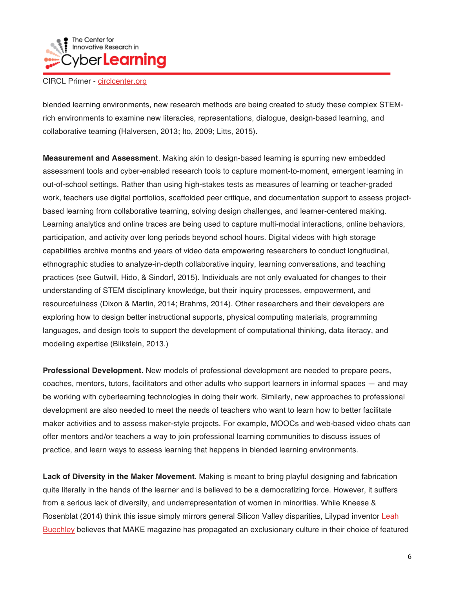

blended learning environments, new research methods are being created to study these complex STEMrich environments to examine new literacies, representations, dialogue, design-based learning, and collaborative teaming (Halversen, 2013; Ito, 2009; Litts, 2015).

**Measurement and Assessment**. Making akin to design-based learning is spurring new embedded assessment tools and cyber-enabled research tools to capture moment-to-moment, emergent learning in out-of-school settings. Rather than using high-stakes tests as measures of learning or teacher-graded work, teachers use digital portfolios, scaffolded peer critique, and documentation support to assess projectbased learning from collaborative teaming, solving design challenges, and learner-centered making. Learning analytics and online traces are being used to capture multi-modal interactions, online behaviors, participation, and activity over long periods beyond school hours. Digital videos with high storage capabilities archive months and years of video data empowering researchers to conduct longitudinal, ethnographic studies to analyze-in-depth collaborative inquiry, learning conversations, and teaching practices (see Gutwill, Hido, & Sindorf, 2015). Individuals are not only evaluated for changes to their understanding of STEM disciplinary knowledge, but their inquiry processes, empowerment, and resourcefulness (Dixon & Martin, 2014; Brahms, 2014). Other researchers and their developers are exploring how to design better instructional supports, physical computing materials, programming languages, and design tools to support the development of computational thinking, data literacy, and modeling expertise (Blikstein, 2013.)

**Professional Development**. New models of professional development are needed to prepare peers, coaches, mentors, tutors, facilitators and other adults who support learners in informal spaces — and may be working with cyberlearning technologies in doing their work. Similarly, new approaches to professional development are also needed to meet the needs of teachers who want to learn how to better facilitate maker activities and to assess maker-style projects. For example, MOOCs and web-based video chats can offer mentors and/or teachers a way to join professional learning communities to discuss issues of practice, and learn ways to assess learning that happens in blended learning environments.

**Lack of Diversity in the Maker Movement**. Making is meant to bring playful designing and fabrication quite literally in the hands of the learner and is believed to be a democratizing force. However, it suffers from a serious lack of diversity, and underrepresentation of women in minorities. While Kneese & Rosenblat (2014) think this issue simply mirrors general Silicon Valley disparities, Lilypad inventor Leah Buechley believes that MAKE magazine has propagated an exclusionary culture in their choice of featured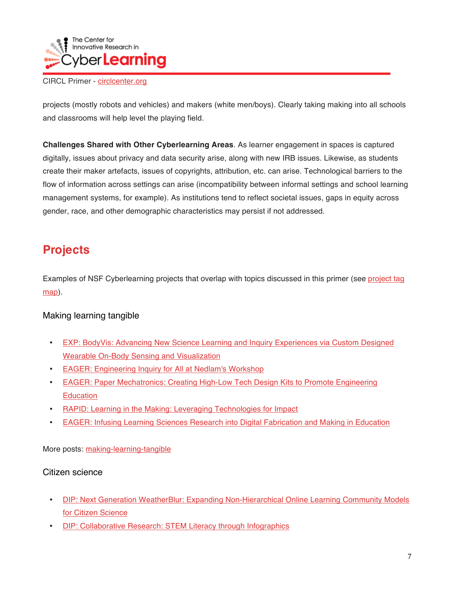

projects (mostly robots and vehicles) and makers (white men/boys). Clearly taking making into all schools and classrooms will help level the playing field.

**Challenges Shared with Other Cyberlearning Areas**. As learner engagement in spaces is captured digitally, issues about privacy and data security arise, along with new IRB issues. Likewise, as students create their maker artefacts, issues of copyrights, attribution, etc. can arise. Technological barriers to the flow of information across settings can arise (incompatibility between informal settings and school learning management systems, for example). As institutions tend to reflect societal issues, gaps in equity across gender, race, and other demographic characteristics may persist if not addressed.

## **Projects**

Examples of NSF Cyberlearning projects that overlap with topics discussed in this primer (see project tag map).

## Making learning tangible

- EXP: BodyVis: Advancing New Science Learning and Inquiry Experiences via Custom Designed Wearable On-Body Sensing and Visualization
- EAGER: Engineering Inquiry for All at Nedlam's Workshop
- EAGER: Paper Mechatronics: Creating High-Low Tech Design Kits to Promote Engineering **Education**
- RAPID: Learning in the Making: Leveraging Technologies for Impact
- EAGER: Infusing Learning Sciences Research into Digital Fabrication and Making in Education

More posts: making-learning-tangible

## Citizen science

- DIP: Next Generation WeatherBlur: Expanding Non-Hierarchical Online Learning Community Models for Citizen Science
- DIP: Collaborative Research: STEM Literacy through Infographics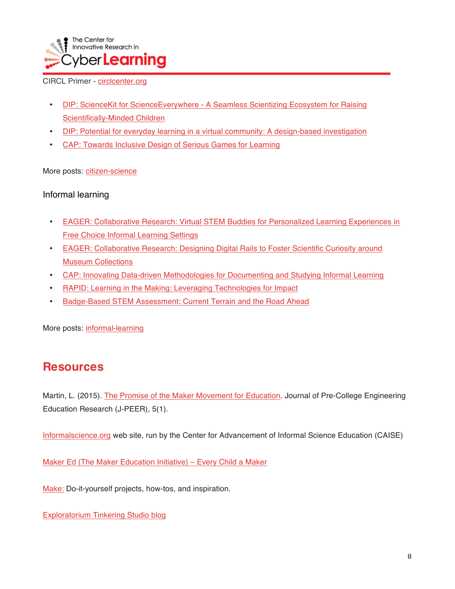

- DIP: ScienceKit for ScienceEverywhere A Seamless Scientizing Ecosystem for Raising Scientifically-Minded Children
- DIP: Potential for everyday learning in a virtual community: A design-based investigation
- CAP: Towards Inclusive Design of Serious Games for Learning

More posts: citizen-science

## Informal learning

- EAGER: Collaborative Research: Virtual STEM Buddies for Personalized Learning Experiences in Free Choice Informal Learning Settings
- EAGER: Collaborative Research: Designing Digital Rails to Foster Scientific Curiosity around Museum Collections
- CAP: Innovating Data-driven Methodologies for Documenting and Studying Informal Learning
- RAPID: Learning in the Making: Leveraging Technologies for Impact
- Badge-Based STEM Assessment: Current Terrain and the Road Ahead

More posts: informal-learning

## **Resources**

Martin, L. (2015). The Promise of the Maker Movement for Education. Journal of Pre-College Engineering Education Research (J-PEER), 5(1).

Informalscience.org web site, run by the Center for Advancement of Informal Science Education (CAISE)

Maker Ed (The Maker Education Initiative) – Every Child a Maker

Make: Do-it-yourself projects, how-tos, and inspiration.

Exploratorium Tinkering Studio blog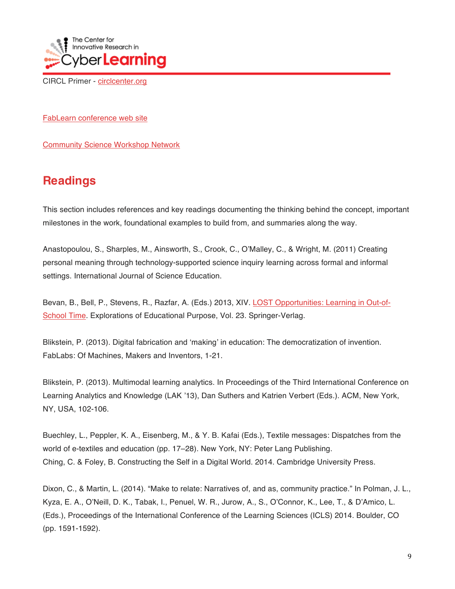

FabLearn conference web site

Community Science Workshop Network

## **Readings**

This section includes references and key readings documenting the thinking behind the concept, important milestones in the work, foundational examples to build from, and summaries along the way.

Anastopoulou, S., Sharples, M., Ainsworth, S., Crook, C., O'Malley, C., & Wright, M. (2011) Creating personal meaning through technology-supported science inquiry learning across formal and informal settings. International Journal of Science Education.

Bevan, B., Bell, P., Stevens, R., Razfar, A. (Eds.) 2013, XIV. LOST Opportunities: Learning in Out-of-School Time. Explorations of Educational Purpose, Vol. 23. Springer-Verlag.

Blikstein, P. (2013). Digital fabrication and 'making' in education: The democratization of invention. FabLabs: Of Machines, Makers and Inventors, 1-21.

Blikstein, P. (2013). Multimodal learning analytics. In Proceedings of the Third International Conference on Learning Analytics and Knowledge (LAK '13), Dan Suthers and Katrien Verbert (Eds.). ACM, New York, NY, USA, 102-106.

Buechley, L., Peppler, K. A., Eisenberg, M., & Y. B. Kafai (Eds.), Textile messages: Dispatches from the world of e-textiles and education (pp. 17–28). New York, NY: Peter Lang Publishing. Ching, C. & Foley, B. Constructing the Self in a Digital World. 2014. Cambridge University Press.

Dixon, C., & Martin, L. (2014). "Make to relate: Narratives of, and as, community practice." In Polman, J. L., Kyza, E. A., O'Neill, D. K., Tabak, I., Penuel, W. R., Jurow, A., S., O'Connor, K., Lee, T., & D'Amico, L. (Eds.), Proceedings of the International Conference of the Learning Sciences (ICLS) 2014. Boulder, CO (pp. 1591-1592).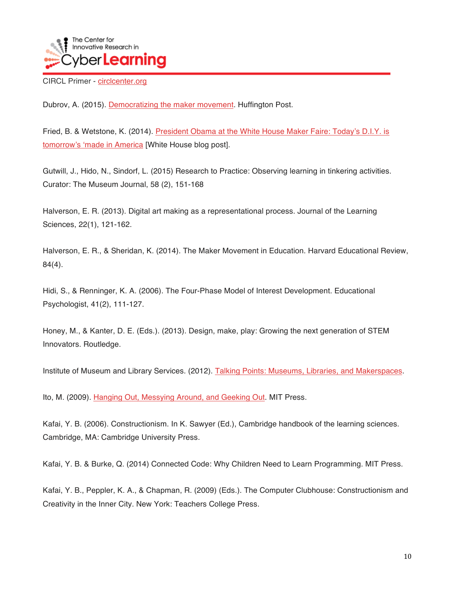

Dubrov, A. (2015). Democratizing the maker movement. Huffington Post.

Fried, B. & Wetstone, K. (2014). President Obama at the White House Maker Faire: Today's D.I.Y. is tomorrow's 'made in America [White House blog post].

Gutwill, J., Hido, N., Sindorf, L. (2015) Research to Practice: Observing learning in tinkering activities. Curator: The Museum Journal, 58 (2), 151-168

Halverson, E. R. (2013). Digital art making as a representational process. Journal of the Learning Sciences, 22(1), 121-162.

Halverson, E. R., & Sheridan, K. (2014). The Maker Movement in Education. Harvard Educational Review, 84(4).

Hidi, S., & Renninger, K. A. (2006). The Four-Phase Model of Interest Development. Educational Psychologist, 41(2), 111-127.

Honey, M., & Kanter, D. E. (Eds.). (2013). Design, make, play: Growing the next generation of STEM Innovators. Routledge.

Institute of Museum and Library Services. (2012). Talking Points: Museums, Libraries, and Makerspaces.

Ito, M. (2009). Hanging Out, Messying Around, and Geeking Out. MIT Press.

Kafai, Y. B. (2006). Constructionism. In K. Sawyer (Ed.), Cambridge handbook of the learning sciences. Cambridge, MA: Cambridge University Press.

Kafai, Y. B. & Burke, Q. (2014) Connected Code: Why Children Need to Learn Programming. MIT Press.

Kafai, Y. B., Peppler, K. A., & Chapman, R. (2009) (Eds.). The Computer Clubhouse: Constructionism and Creativity in the Inner City. New York: Teachers College Press.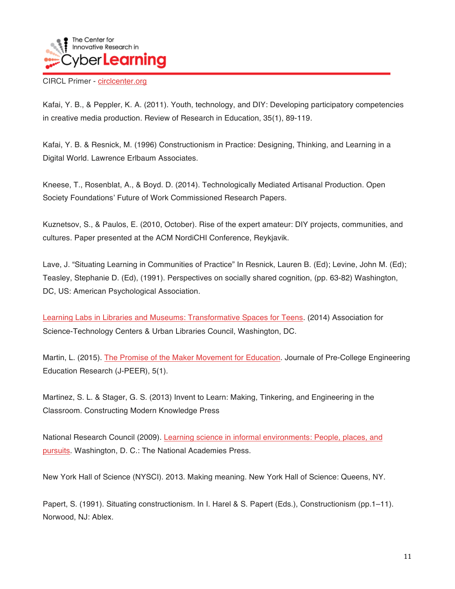

Kafai, Y. B., & Peppler, K. A. (2011). Youth, technology, and DIY: Developing participatory competencies in creative media production. Review of Research in Education, 35(1), 89-119.

Kafai, Y. B. & Resnick, M. (1996) Constructionism in Practice: Designing, Thinking, and Learning in a Digital World. Lawrence Erlbaum Associates.

Kneese, T., Rosenblat, A., & Boyd. D. (2014). Technologically Mediated Artisanal Production. Open Society Foundations' Future of Work Commissioned Research Papers.

Kuznetsov, S., & Paulos, E. (2010, October). Rise of the expert amateur: DIY projects, communities, and cultures. Paper presented at the ACM NordiCHI Conference, Reykjavik.

Lave, J. "Situating Learning in Communities of Practice" In Resnick, Lauren B. (Ed); Levine, John M. (Ed); Teasley, Stephanie D. (Ed), (1991). Perspectives on socially shared cognition, (pp. 63-82) Washington, DC, US: American Psychological Association.

Learning Labs in Libraries and Museums: Transformative Spaces for Teens. (2014) Association for Science-Technology Centers & Urban Libraries Council, Washington, DC.

Martin, L. (2015). The Promise of the Maker Movement for Education. Journale of Pre-College Engineering Education Research (J-PEER), 5(1).

Martinez, S. L. & Stager, G. S. (2013) Invent to Learn: Making, Tinkering, and Engineering in the Classroom. Constructing Modern Knowledge Press

National Research Council (2009). Learning science in informal environments: People, places, and pursuits. Washington, D. C.: The National Academies Press.

New York Hall of Science (NYSCI). 2013. Making meaning. New York Hall of Science: Queens, NY.

Papert, S. (1991). Situating constructionism. In I. Harel & S. Papert (Eds.), Constructionism (pp.1–11). Norwood, NJ: Ablex.